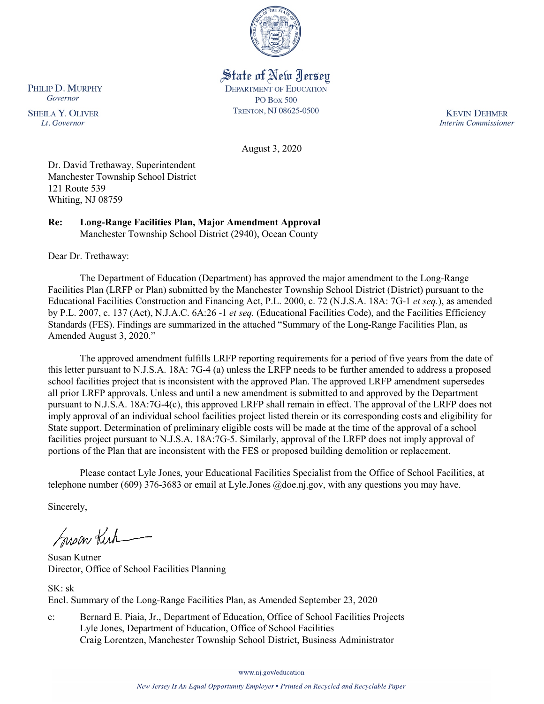

# State of New Jersey

**DEPARTMENT OF EDUCATION PO Box 500** TRENTON, NJ 08625-0500

**KEVIN DEHMER Interim Commissioner** 

August 3, 2020

Dr. David Trethaway, Superintendent Manchester Township School District 121 Route 539 Whiting, NJ 08759

**Re: Long-Range Facilities Plan, Major Amendment Approval**  Manchester Township School District (2940), Ocean County

Dear Dr. Trethaway:

The Department of Education (Department) has approved the major amendment to the Long-Range Facilities Plan (LRFP or Plan) submitted by the Manchester Township School District (District) pursuant to the Educational Facilities Construction and Financing Act, P.L. 2000, c. 72 (N.J.S.A. 18A: 7G-1 *et seq.*), as amended by P.L. 2007, c. 137 (Act), N.J.A.C. 6A:26 -1 *et seq.* (Educational Facilities Code), and the Facilities Efficiency Standards (FES). Findings are summarized in the attached "Summary of the Long-Range Facilities Plan, as Amended August 3, 2020."

The approved amendment fulfills LRFP reporting requirements for a period of five years from the date of this letter pursuant to N.J.S.A. 18A: 7G-4 (a) unless the LRFP needs to be further amended to address a proposed school facilities project that is inconsistent with the approved Plan. The approved LRFP amendment supersedes all prior LRFP approvals. Unless and until a new amendment is submitted to and approved by the Department pursuant to N.J.S.A. 18A:7G-4(c), this approved LRFP shall remain in effect. The approval of the LRFP does not imply approval of an individual school facilities project listed therein or its corresponding costs and eligibility for State support. Determination of preliminary eligible costs will be made at the time of the approval of a school facilities project pursuant to N.J.S.A. 18A:7G-5. Similarly, approval of the LRFP does not imply approval of portions of the Plan that are inconsistent with the FES or proposed building demolition or replacement.

Please contact Lyle Jones, your Educational Facilities Specialist from the Office of School Facilities, at telephone number (609) 376-3683 or email at Lyle.Jones @doe.nj.gov, with any questions you may have.

Sincerely,

Susan Kich

Susan Kutner Director, Office of School Facilities Planning

SK: sk Encl. Summary of the Long-Range Facilities Plan, as Amended September 23, 2020

c: Bernard E. Piaia, Jr., Department of Education, Office of School Facilities Projects Lyle Jones, Department of Education, Office of School Facilities Craig Lorentzen, Manchester Township School District, Business Administrator

www.nj.gov/education

PHILIP D. MURPHY Governor

**SHEILA Y. OLIVER** Lt. Governor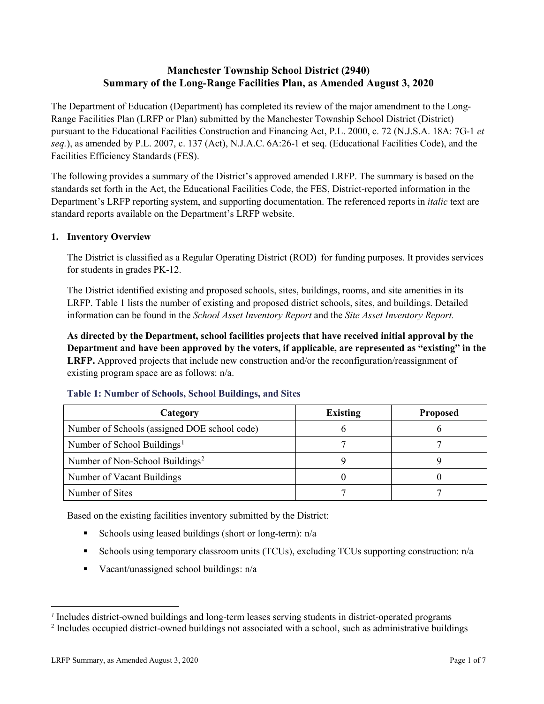## **Manchester Township School District (2940) Summary of the Long-Range Facilities Plan, as Amended August 3, 2020**

The Department of Education (Department) has completed its review of the major amendment to the Long-Range Facilities Plan (LRFP or Plan) submitted by the Manchester Township School District (District) pursuant to the Educational Facilities Construction and Financing Act, P.L. 2000, c. 72 (N.J.S.A. 18A: 7G-1 *et seq.*), as amended by P.L. 2007, c. 137 (Act), N.J.A.C. 6A:26-1 et seq. (Educational Facilities Code), and the Facilities Efficiency Standards (FES).

The following provides a summary of the District's approved amended LRFP. The summary is based on the standards set forth in the Act, the Educational Facilities Code, the FES, District-reported information in the Department's LRFP reporting system, and supporting documentation. The referenced reports in *italic* text are standard reports available on the Department's LRFP website.

## **1. Inventory Overview**

The District is classified as a Regular Operating District (ROD) for funding purposes. It provides services for students in grades PK-12.

The District identified existing and proposed schools, sites, buildings, rooms, and site amenities in its LRFP. Table 1 lists the number of existing and proposed district schools, sites, and buildings. Detailed information can be found in the *School Asset Inventory Report* and the *Site Asset Inventory Report.*

**As directed by the Department, school facilities projects that have received initial approval by the Department and have been approved by the voters, if applicable, are represented as "existing" in the LRFP.** Approved projects that include new construction and/or the reconfiguration/reassignment of existing program space are as follows: n/a.

| Category                                     | <b>Existing</b> | <b>Proposed</b> |
|----------------------------------------------|-----------------|-----------------|
| Number of Schools (assigned DOE school code) |                 |                 |
| Number of School Buildings <sup>1</sup>      |                 |                 |
| Number of Non-School Buildings <sup>2</sup>  |                 |                 |
| Number of Vacant Buildings                   |                 |                 |
| Number of Sites                              |                 |                 |

#### **Table 1: Number of Schools, School Buildings, and Sites**

Based on the existing facilities inventory submitted by the District:

- Schools using leased buildings (short or long-term):  $n/a$
- Schools using temporary classroom units (TCUs), excluding TCUs supporting construction: n/a
- Vacant/unassigned school buildings:  $n/a$

 $\overline{a}$ 

<span id="page-1-1"></span><span id="page-1-0"></span>*<sup>1</sup>* Includes district-owned buildings and long-term leases serving students in district-operated programs

<sup>&</sup>lt;sup>2</sup> Includes occupied district-owned buildings not associated with a school, such as administrative buildings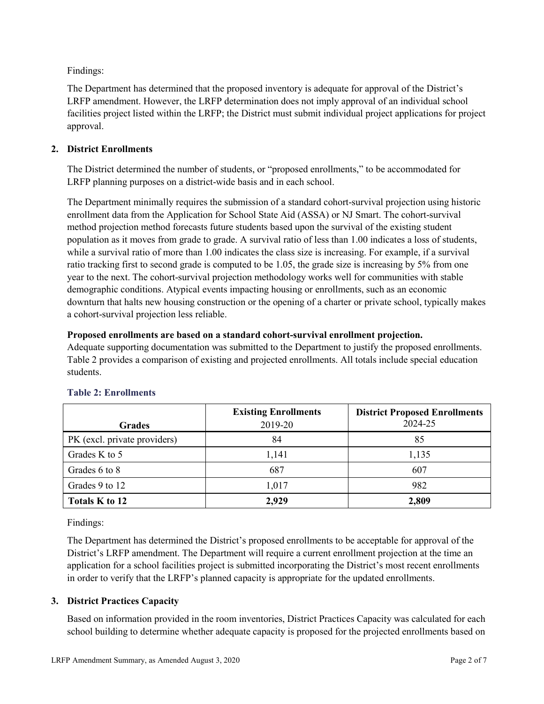Findings:

The Department has determined that the proposed inventory is adequate for approval of the District's LRFP amendment. However, the LRFP determination does not imply approval of an individual school facilities project listed within the LRFP; the District must submit individual project applications for project approval.

## **2. District Enrollments**

The District determined the number of students, or "proposed enrollments," to be accommodated for LRFP planning purposes on a district-wide basis and in each school.

The Department minimally requires the submission of a standard cohort-survival projection using historic enrollment data from the Application for School State Aid (ASSA) or NJ Smart. The cohort-survival method projection method forecasts future students based upon the survival of the existing student population as it moves from grade to grade. A survival ratio of less than 1.00 indicates a loss of students, while a survival ratio of more than 1.00 indicates the class size is increasing. For example, if a survival ratio tracking first to second grade is computed to be 1.05, the grade size is increasing by 5% from one year to the next. The cohort-survival projection methodology works well for communities with stable demographic conditions. Atypical events impacting housing or enrollments, such as an economic downturn that halts new housing construction or the opening of a charter or private school, typically makes a cohort-survival projection less reliable.

## **Proposed enrollments are based on a standard cohort-survival enrollment projection.**

Adequate supporting documentation was submitted to the Department to justify the proposed enrollments. Table 2 provides a comparison of existing and projected enrollments. All totals include special education students.

|                              | <b>Existing Enrollments</b> | <b>District Proposed Enrollments</b> |
|------------------------------|-----------------------------|--------------------------------------|
| <b>Grades</b>                | 2019-20                     | 2024-25                              |
| PK (excl. private providers) | 84                          | 85                                   |
| Grades K to 5                | 1,141                       | 1,135                                |
| Grades 6 to 8                | 687                         | 607                                  |
| Grades 9 to 12               | 1,017                       | 982                                  |
| Totals K to 12               | 2,929                       | 2,809                                |

# **Table 2: Enrollments**

Findings:

The Department has determined the District's proposed enrollments to be acceptable for approval of the District's LRFP amendment. The Department will require a current enrollment projection at the time an application for a school facilities project is submitted incorporating the District's most recent enrollments in order to verify that the LRFP's planned capacity is appropriate for the updated enrollments.

# **3. District Practices Capacity**

Based on information provided in the room inventories, District Practices Capacity was calculated for each school building to determine whether adequate capacity is proposed for the projected enrollments based on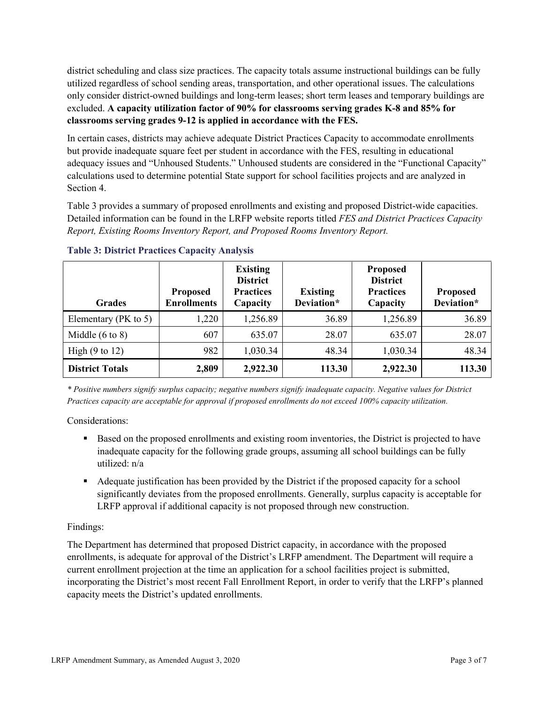district scheduling and class size practices. The capacity totals assume instructional buildings can be fully utilized regardless of school sending areas, transportation, and other operational issues. The calculations only consider district-owned buildings and long-term leases; short term leases and temporary buildings are excluded. **A capacity utilization factor of 90% for classrooms serving grades K-8 and 85% for classrooms serving grades 9-12 is applied in accordance with the FES.**

In certain cases, districts may achieve adequate District Practices Capacity to accommodate enrollments but provide inadequate square feet per student in accordance with the FES, resulting in educational adequacy issues and "Unhoused Students." Unhoused students are considered in the "Functional Capacity" calculations used to determine potential State support for school facilities projects and are analyzed in Section 4.

Table 3 provides a summary of proposed enrollments and existing and proposed District-wide capacities. Detailed information can be found in the LRFP website reports titled *FES and District Practices Capacity Report, Existing Rooms Inventory Report, and Proposed Rooms Inventory Report.*

| <b>Grades</b>              | <b>Proposed</b><br><b>Enrollments</b> | <b>Existing</b><br><b>District</b><br><b>Practices</b><br>Capacity | <b>Existing</b><br>Deviation* | <b>Proposed</b><br><b>District</b><br><b>Practices</b><br>Capacity | Proposed<br>Deviation* |
|----------------------------|---------------------------------------|--------------------------------------------------------------------|-------------------------------|--------------------------------------------------------------------|------------------------|
| Elementary ( $PK$ to 5)    | 1,220                                 | 1,256.89                                                           | 36.89                         | 1,256.89                                                           | 36.89                  |
| Middle $(6 \text{ to } 8)$ | 607                                   | 635.07                                                             | 28.07                         | 635.07                                                             | 28.07                  |
| High $(9 \text{ to } 12)$  | 982                                   | 1,030.34                                                           | 48.34                         | 1,030.34                                                           | 48.34                  |
| <b>District Totals</b>     | 2,809                                 | 2,922.30                                                           | 113.30                        | 2,922.30                                                           | 113.30                 |

**Table 3: District Practices Capacity Analysis**

*\* Positive numbers signify surplus capacity; negative numbers signify inadequate capacity. Negative values for District Practices capacity are acceptable for approval if proposed enrollments do not exceed 100% capacity utilization.*

Considerations:

- Based on the proposed enrollments and existing room inventories, the District is projected to have inadequate capacity for the following grade groups, assuming all school buildings can be fully utilized: n/a
- Adequate justification has been provided by the District if the proposed capacity for a school significantly deviates from the proposed enrollments. Generally, surplus capacity is acceptable for LRFP approval if additional capacity is not proposed through new construction.

# Findings:

The Department has determined that proposed District capacity, in accordance with the proposed enrollments, is adequate for approval of the District's LRFP amendment. The Department will require a current enrollment projection at the time an application for a school facilities project is submitted, incorporating the District's most recent Fall Enrollment Report, in order to verify that the LRFP's planned capacity meets the District's updated enrollments.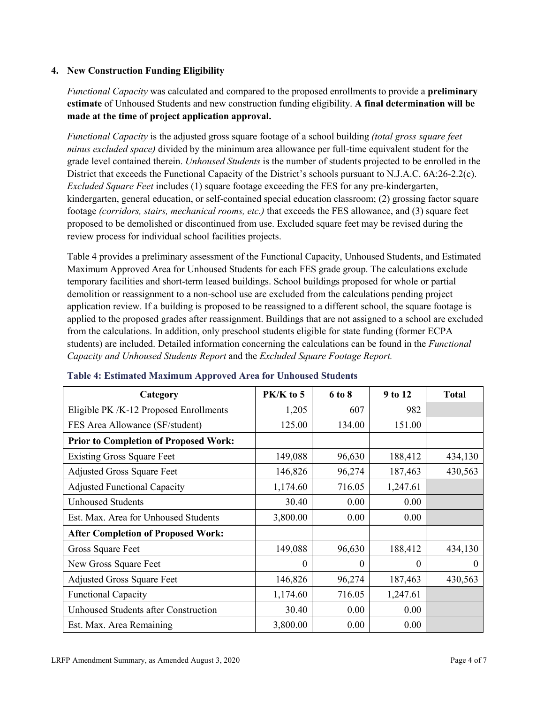#### **4. New Construction Funding Eligibility**

*Functional Capacity* was calculated and compared to the proposed enrollments to provide a **preliminary estimate** of Unhoused Students and new construction funding eligibility. **A final determination will be made at the time of project application approval.**

*Functional Capacity* is the adjusted gross square footage of a school building *(total gross square feet minus excluded space)* divided by the minimum area allowance per full-time equivalent student for the grade level contained therein. *Unhoused Students* is the number of students projected to be enrolled in the District that exceeds the Functional Capacity of the District's schools pursuant to N.J.A.C. 6A:26-2.2(c). *Excluded Square Feet* includes (1) square footage exceeding the FES for any pre-kindergarten, kindergarten, general education, or self-contained special education classroom; (2) grossing factor square footage *(corridors, stairs, mechanical rooms, etc.)* that exceeds the FES allowance, and (3) square feet proposed to be demolished or discontinued from use. Excluded square feet may be revised during the review process for individual school facilities projects.

Table 4 provides a preliminary assessment of the Functional Capacity, Unhoused Students, and Estimated Maximum Approved Area for Unhoused Students for each FES grade group. The calculations exclude temporary facilities and short-term leased buildings. School buildings proposed for whole or partial demolition or reassignment to a non-school use are excluded from the calculations pending project application review. If a building is proposed to be reassigned to a different school, the square footage is applied to the proposed grades after reassignment. Buildings that are not assigned to a school are excluded from the calculations. In addition, only preschool students eligible for state funding (former ECPA students) are included. Detailed information concerning the calculations can be found in the *Functional Capacity and Unhoused Students Report* and the *Excluded Square Footage Report.*

| Category                                     | $PK/K$ to 5 | 6 to 8   | 9 to 12  | <b>Total</b> |
|----------------------------------------------|-------------|----------|----------|--------------|
| Eligible PK /K-12 Proposed Enrollments       | 1,205       | 607      | 982      |              |
| FES Area Allowance (SF/student)              | 125.00      | 134.00   | 151.00   |              |
| <b>Prior to Completion of Proposed Work:</b> |             |          |          |              |
| <b>Existing Gross Square Feet</b>            | 149,088     | 96,630   | 188,412  | 434,130      |
| <b>Adjusted Gross Square Feet</b>            | 146,826     | 96,274   | 187,463  | 430,563      |
| <b>Adjusted Functional Capacity</b>          | 1,174.60    | 716.05   | 1,247.61 |              |
| <b>Unhoused Students</b>                     | 30.40       | 0.00     | 0.00     |              |
| Est. Max. Area for Unhoused Students         | 3,800.00    | 0.00     | 0.00     |              |
| <b>After Completion of Proposed Work:</b>    |             |          |          |              |
| Gross Square Feet                            | 149,088     | 96,630   | 188,412  | 434,130      |
| New Gross Square Feet                        | $\theta$    | $\theta$ | 0        | $\theta$     |
| <b>Adjusted Gross Square Feet</b>            | 146,826     | 96,274   | 187,463  | 430,563      |
| <b>Functional Capacity</b>                   | 1,174.60    | 716.05   | 1,247.61 |              |
| <b>Unhoused Students after Construction</b>  | 30.40       | 0.00     | 0.00     |              |
| Est. Max. Area Remaining                     | 3,800.00    | 0.00     | 0.00     |              |

#### **Table 4: Estimated Maximum Approved Area for Unhoused Students**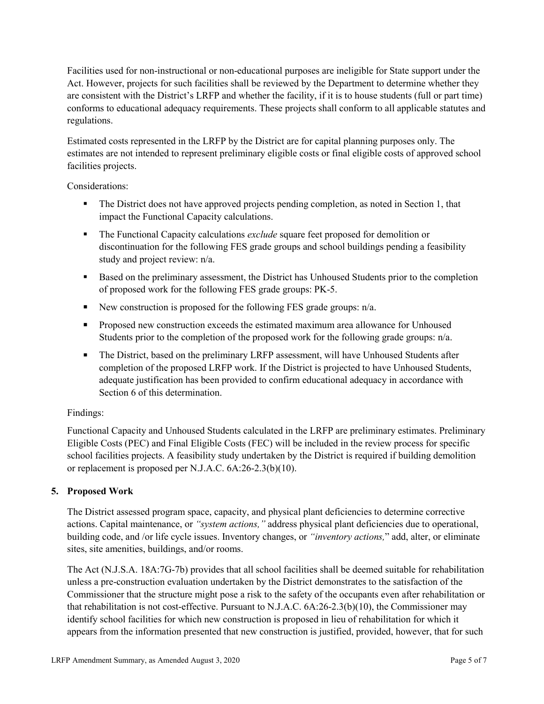Facilities used for non-instructional or non-educational purposes are ineligible for State support under the Act. However, projects for such facilities shall be reviewed by the Department to determine whether they are consistent with the District's LRFP and whether the facility, if it is to house students (full or part time) conforms to educational adequacy requirements. These projects shall conform to all applicable statutes and regulations.

Estimated costs represented in the LRFP by the District are for capital planning purposes only. The estimates are not intended to represent preliminary eligible costs or final eligible costs of approved school facilities projects.

Considerations:

- The District does not have approved projects pending completion, as noted in Section 1, that impact the Functional Capacity calculations.
- **The Functional Capacity calculations** *exclude* square feet proposed for demolition or discontinuation for the following FES grade groups and school buildings pending a feasibility study and project review: n/a.
- Based on the preliminary assessment, the District has Unhoused Students prior to the completion of proposed work for the following FES grade groups: PK-5.
- New construction is proposed for the following FES grade groups: n/a.
- Proposed new construction exceeds the estimated maximum area allowance for Unhoused Students prior to the completion of the proposed work for the following grade groups: n/a.
- The District, based on the preliminary LRFP assessment, will have Unhoused Students after completion of the proposed LRFP work. If the District is projected to have Unhoused Students, adequate justification has been provided to confirm educational adequacy in accordance with Section 6 of this determination.

## Findings:

Functional Capacity and Unhoused Students calculated in the LRFP are preliminary estimates. Preliminary Eligible Costs (PEC) and Final Eligible Costs (FEC) will be included in the review process for specific school facilities projects. A feasibility study undertaken by the District is required if building demolition or replacement is proposed per N.J.A.C. 6A:26-2.3(b)(10).

## **5. Proposed Work**

The District assessed program space, capacity, and physical plant deficiencies to determine corrective actions. Capital maintenance, or *"system actions,"* address physical plant deficiencies due to operational, building code, and /or life cycle issues. Inventory changes, or *"inventory actions,*" add, alter, or eliminate sites, site amenities, buildings, and/or rooms.

The Act (N.J.S.A. 18A:7G-7b) provides that all school facilities shall be deemed suitable for rehabilitation unless a pre-construction evaluation undertaken by the District demonstrates to the satisfaction of the Commissioner that the structure might pose a risk to the safety of the occupants even after rehabilitation or that rehabilitation is not cost-effective. Pursuant to N.J.A.C. 6A:26-2.3(b)(10), the Commissioner may identify school facilities for which new construction is proposed in lieu of rehabilitation for which it appears from the information presented that new construction is justified, provided, however, that for such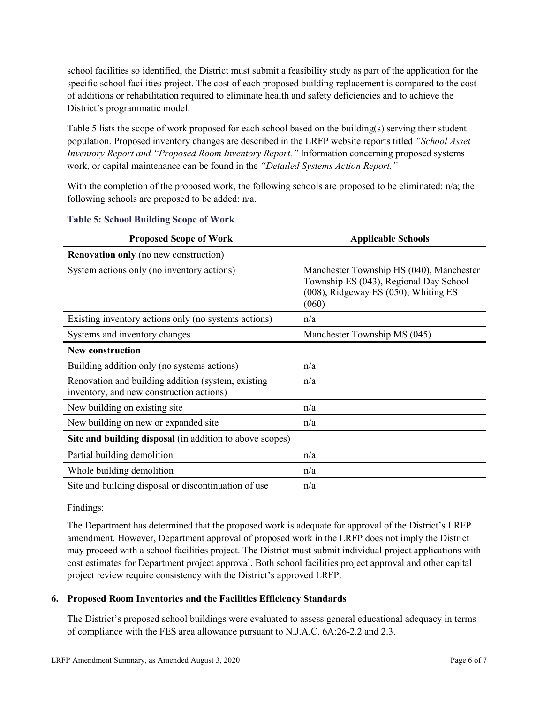school facilities so identified, the District must submit a feasibility study as part of the application for the specific school facilities project. The cost of each proposed building replacement is compared to the cost of additions or rehabilitation required to eliminate health and safety deficiencies and to achieve the District's programmatic model.

Table 5 lists the scope of work proposed for each school based on the building(s) serving their student population. Proposed inventory changes are described in the LRFP website reports titled *"School Asset Inventory Report and "Proposed Room Inventory Report."* Information concerning proposed systems work, or capital maintenance can be found in the *"Detailed Systems Action Report."* 

With the completion of the proposed work, the following schools are proposed to be eliminated: n/a; the following schools are proposed to be added: n/a.

| <b>Proposed Scope of Work</b>                                                                  | <b>Applicable Schools</b>                                                                                                           |
|------------------------------------------------------------------------------------------------|-------------------------------------------------------------------------------------------------------------------------------------|
| <b>Renovation only</b> (no new construction)                                                   |                                                                                                                                     |
| System actions only (no inventory actions)                                                     | Manchester Township HS (040), Manchester<br>Township ES (043), Regional Day School<br>(008), Ridgeway ES (050), Whiting ES<br>(060) |
| Existing inventory actions only (no systems actions)                                           | n/a                                                                                                                                 |
| Systems and inventory changes                                                                  | Manchester Township MS (045)                                                                                                        |
| <b>New construction</b>                                                                        |                                                                                                                                     |
| Building addition only (no systems actions)                                                    | n/a                                                                                                                                 |
| Renovation and building addition (system, existing<br>inventory, and new construction actions) | n/a                                                                                                                                 |
| New building on existing site                                                                  | n/a                                                                                                                                 |
| New building on new or expanded site                                                           | n/a                                                                                                                                 |
| Site and building disposal (in addition to above scopes)                                       |                                                                                                                                     |
| Partial building demolition                                                                    | n/a                                                                                                                                 |
| Whole building demolition                                                                      | n/a                                                                                                                                 |
| Site and building disposal or discontinuation of use                                           | n/a                                                                                                                                 |

#### **Table 5: School Building Scope of Work**

#### Findings:

The Department has determined that the proposed work is adequate for approval of the District's LRFP amendment. However, Department approval of proposed work in the LRFP does not imply the District may proceed with a school facilities project. The District must submit individual project applications with cost estimates for Department project approval. Both school facilities project approval and other capital project review require consistency with the District's approved LRFP.

## **6. Proposed Room Inventories and the Facilities Efficiency Standards**

The District's proposed school buildings were evaluated to assess general educational adequacy in terms of compliance with the FES area allowance pursuant to N.J.A.C. 6A:26-2.2 and 2.3.